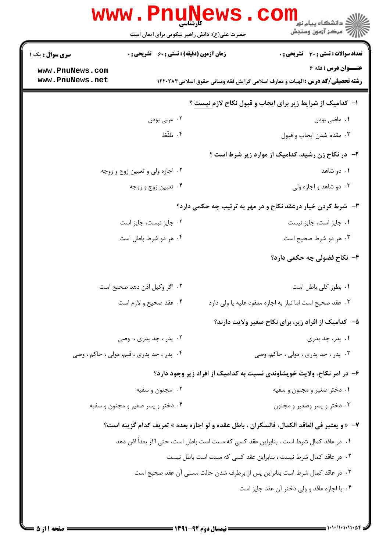|                        | حضرت علی(ع): دانش راهبر نیکویی برای ایمان است      | د دانشگاه پيام نور<br>ا∛ مرکز آزمون وسنجش                                                  |
|------------------------|----------------------------------------------------|--------------------------------------------------------------------------------------------|
| <b>سری سوال :</b> یک ۱ | <b>زمان آزمون (دقیقه) : تستی : 60 ٪ تشریحی : 0</b> | تعداد سوالات : تستى : 30 قشريحى : 0                                                        |
| www.PnuNews.com        |                                                    | <b>عنــوان درس : فقه 6</b>                                                                 |
| www.PnuNews.net        |                                                    | <b>رشته تحصیلی/گد درس :</b> الهیات و معارف اسلامی گرایش فقه ومبانی حقوق اسلامی1۲۲۰۲۸۳      |
|                        |                                                    | ۱- کدامیک از شرایط زیر برای ایجاب و قبول نکاح لازم نیست ؟                                  |
|                        | ۰۲ عربي بودن                                       | ۰۱ ماضی بودن                                                                               |
|                        | ۰۴ تلفّظ                                           | ۰۳ مقدم شدن ايجاب و قبول                                                                   |
|                        |                                                    | <b>۲</b> - در نکاح زن رشید، کدامیک از موارد زیر شرط است ؟                                  |
|                        | ۰۲ اجازه ولي و تعيين زوج و زوجه                    | ۰۱ دو شاهد                                                                                 |
|                        | ۰۴ تعیین زوج و زوجه                                | ۰۳ دو شاهد و اجازه ولی                                                                     |
|                        |                                                    | ۳- شرط کردن خیار درعقد نکاح و در مهر به ترتیب چه حکمی دارد؟                                |
|                        | ۰۲ جایز نیست، جایز است                             | ٠١. جايز است، جايز نيست                                                                    |
|                        | ۰۴ هر دو شرط باطل است                              | ۰۳ هر دو شرط صحیح است                                                                      |
|                        |                                                    | ۴– نکاح فضولی چه حکمی دارد؟                                                                |
|                        | ۰۲ اگر وکیل اذن دهد صحیح است                       | ٠١. بطور كلي باطل است                                                                      |
|                        | ۰۴ عقد صحیح و لازم است                             | ٠٣ عقد صحيح است اما نياز به اجازه معقود عليه يا ولي دارد                                   |
|                        |                                                    | ۵– کدامیک از افراد زیر، برای نکاح صغیر ولایت دارند؟                                        |
|                        | ۰۲ پدر ، جد پدری ، وصی                             | ۰۱ پدر، جد پدری                                                                            |
|                        | ۰۴ پدر ، جد پدری ، قیم، مولی ، حاکم ، وصی          | ۰۳ پدر ، جد پدری ، مولی ، حاکم، وصی                                                        |
|                        |                                                    | ۶– در امر نکاح، ولایت خویشاوندی نسبت به کدامیک از افراد زیر وجود دارد؟                     |
|                        | ۰۲ مجنون و سفیه                                    | ۰۱ دختر صغیر و مجنون و سفیه                                                                |
|                        | ۰۴ دختر و پسر صغیر و مجنون و سفیه                  | ۰۳ دختر و پسر وصغیر و مجنون                                                                |
|                        |                                                    | ٧- «و يعتبر في العاقد الكمال، فالسكران ، باطل عقده و لو اجازه بعده » تعريف كدام گزينه است؟ |
|                        |                                                    | ٠١ در عاقد كمال شرط است ، بنابراين عقد كسي كه مست است باطل است، حتى اگر بعدأ اذن دهد       |
|                        |                                                    | ۰۲ در عاقد کمال شرط نیست ، بنابراین عقد کسی که مست است باطل نیست                           |
|                        |                                                    | ۰۳ در عاقد کمال شرط است بنابراین پس از برطرف شدن حالت مستی آن عقد صحیح است                 |
|                        |                                                    | ۰۴ با اجازه عاقد و ولی دختر آن عقد جایز است                                                |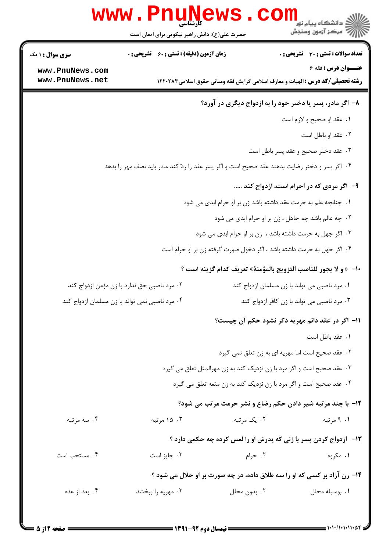|                                                | <b>www . Phunev</b><br>کارشناسی<br>حضرت علی(ع): دانش راهبر نیکویی برای ایمان است |              | ڪ دانشڪاه پيا <sub>م</sub> نور<br>۾ سرڪز آزمون وسنجش                                                                |
|------------------------------------------------|----------------------------------------------------------------------------------|--------------|---------------------------------------------------------------------------------------------------------------------|
| سری سوال : ۱ یک                                | <b>زمان آزمون (دقیقه) : تستی : 60 ٪ تشریحی : 0</b>                               |              | <b>تعداد سوالات : تستی : 30 ٪ تشریحی : 0</b>                                                                        |
| www.PnuNews.com<br>www.PnuNews.net             |                                                                                  |              | <b>عنــوان درس : فقه 6</b><br><b>رشته تحصیلی/کد درس :</b> الهیات و معارف اسلامی گرایش فقه ومبانی حقوق اسلامی۱۲۲۰۲۸۳ |
|                                                |                                                                                  |              | ۸- اگر مادر، پسر یا دختر خود را به ازدواج دیگری در آورد؟                                                            |
|                                                |                                                                                  |              | ٠١ عقد او صحيح و لازم است                                                                                           |
|                                                |                                                                                  |              | ۰۲ عقد او باطل است                                                                                                  |
|                                                |                                                                                  |              | ۰۳ عقد دختر صحيح و عقد پسر باطل است                                                                                 |
|                                                |                                                                                  |              | ۰۴ اگر پسر و دختر رضایت بدهند عقد صحیح است و اگر پسر عقد را ردّ کند مادر باید نصف مهر را بدهد                       |
|                                                |                                                                                  |              | ۹- اگر مردی که در احرام است، ازدواج کند                                                                             |
|                                                |                                                                                  |              | ۰۱ چنانچه علم به حرمت عقد داشته باشد زن بر او حرام ابدی می شود                                                      |
|                                                |                                                                                  |              | ۰۲ چه عالم باشد چه جاهل ، زن بر او حرام ابدی می شود                                                                 |
|                                                |                                                                                  |              | ۰۳ اگر جهل به حرمت داشته باشد ، زن بر او حرام ابدی می شود                                                           |
|                                                |                                                                                  |              | ۰۴ اگر جهل به حرمت داشته باشد ، اگر دخول صورت گرفته زن بر او حرام است                                               |
|                                                |                                                                                  |              | ∙ا−  « و لا يجوز للناصب التزويج بالمؤمنة» تعريف كدام گزينه است ؟                                                    |
| ۰۲ مرد ناصبی حق ندارد با زن مؤمن ازدواج کند    |                                                                                  |              | ۰۱ مرد ناصبی می تواند با زن مسلمان ازدواج کند                                                                       |
| ۰۴ مرد ناصبی نمی تواند با زن مسلمان ازدواج کند |                                                                                  |              | ۰۳ مرد ناصبی می تواند با زن کافر ازدواج کند                                                                         |
|                                                |                                                                                  |              | 1۱– اگر در عقد دائم مهریه ذکر نشود حکم آن چیست؟                                                                     |
|                                                |                                                                                  |              | ٠١ عقد باطل است                                                                                                     |
|                                                |                                                                                  |              | ۰۲ عقد صحیح است اما مهریه ای به زن تعلق نمی گیرد                                                                    |
|                                                |                                                                                  |              | ۰۳ عقد صحیح است و اگر مرد با زن نزدیک کند به زن مهرالمثل تعلق می گیرد                                               |
|                                                |                                                                                  |              | ۰۴ عقد صحیح است و اگر مرد با زن نزدیک کند به زن متعه تعلق می گیرد                                                   |
|                                                |                                                                                  |              | 12- با چند مرتبه شیر دادن حکم رضاع و نشر حرمت مرتب می شود؟                                                          |
| ۰۴ سه مرتبه                                    | ۰۳ ۱۵ مرتبه                                                                      | ۰۲ يک مرتبه  | ۰۱ مرتبه                                                                                                            |
|                                                |                                                                                  |              | ۱۳- ازدواج کردن پسر با زنی که پدرش او را لمس کرده چه حکمی دارد ؟                                                    |
| ۰۴ مستحب است                                   | ۰۳ جایز است                                                                      | ۰۲ حرام      | ۰۱ مگروه                                                                                                            |
|                                                |                                                                                  |              | ۱۴- زن آزاد بر کسی که او را سه طلاق داده، در چه صورت بر او حلال می شود ؟                                            |
| ۰۴ بعد از عده                                  | ۰۳ مهریه را ببخشد                                                                | ۰۲ بدون محلل | ٠١. بوسيله محلل                                                                                                     |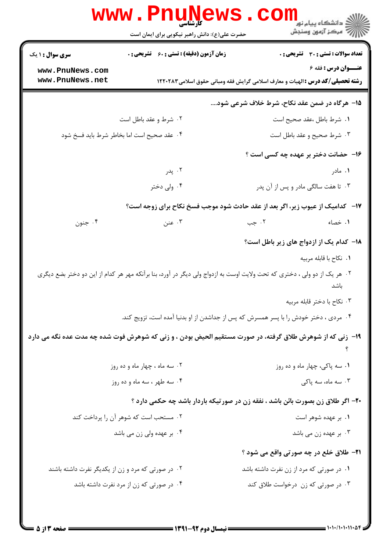|                                                              | <b>www.PnuNews</b><br>کارشناسی<br>حضرت علی(ع): دانش راهبر نیکویی برای ایمان است | ڪ دانشڪاه پيا <sub>م</sub> نور<br><mark>ر</mark> 7 مرڪز آزمون وسنڊش                                                       |
|--------------------------------------------------------------|---------------------------------------------------------------------------------|---------------------------------------------------------------------------------------------------------------------------|
| <b>سری سوال : ۱ یک</b><br>www.PnuNews.com<br>www.PnuNews.net | <b>زمان آزمون (دقیقه) : تستی : 60 ٪ تشریحی : 0</b>                              | تعداد سوالات : تستى : 30 قشريحى : 0<br><b>عنــوان درس : فقه 6</b>                                                         |
|                                                              |                                                                                 | <b>رشته تحصیلی/کد درس :</b> الهیات و معارف اسلامی گرایش فقه ومبانی حقوق اسلامی۱۲۲۰۲۸۳                                     |
|                                                              |                                                                                 | ۱۵– هرگاه در ضمن عقد نکاح، شرط خلاف شرعی شود                                                                              |
|                                                              | ۰۲ شرط و عقد باطل است                                                           | ٠١ شرط باطل ،عقد صحيح است                                                                                                 |
|                                                              | ۰۴ عقد صحیح است اما بخاطر شرط باید فسخ شود                                      | ۰۳ شرط صحیح و عقد باطل است                                                                                                |
|                                                              |                                                                                 | ۱۶- حضانت دختر بر عهده چه کسی است ؟                                                                                       |
|                                                              | ۰۲ پدر                                                                          | ۰۱ مادر                                                                                                                   |
|                                                              | ۰۴ ولی دختر                                                                     | ۰۳ تا هفت سالگی مادر و پس از آن پدر                                                                                       |
|                                                              |                                                                                 | <b>۱۷</b> - کدامیک از عیوب زیر، اگر بعد از عقد حادث شود موجب فسخ نکاح برای زوجه است؟                                      |
| ۰۴ جنون                                                      | ۰۳ عنن                                                                          | ۰۱ خصاء<br>۰۲ جب                                                                                                          |
|                                                              |                                                                                 | 1۸– کدام یک از ازدواج های زیر باطل است؟                                                                                   |
|                                                              |                                                                                 | ٠١. نكاح با قابله مربيه                                                                                                   |
|                                                              |                                                                                 | ۲.  هر یک از دو ولی ، دختری که تحت ولایت اوست به ازدواج ولی دیگر در آورد، بنا برآنکه مهر هر کدام از این دو دختر بضع دیگری |
|                                                              |                                                                                 | باشد                                                                                                                      |
|                                                              |                                                                                 | ۰۳ نکاح با دختر قابله مربیه                                                                                               |
|                                                              |                                                                                 | ۰۴ مردی ، دختر خودش را با پسر همسرش که پس از جداشدن از او بدنیا آمده است، تزویج کند.                                      |
|                                                              |                                                                                 | ۱۹- زنی که از شوهرش طلاق گرفته، در صورت مستقیم الحیض بودن ، و زنی که شوهرش فوت شده چه مدت عده نگه می دارد                 |
|                                                              | ۰۲ سه ماه ، چهار ماه و ده روز                                                   | ۰۱ سه پاکی، چهار ماه و ده روز                                                                                             |
|                                                              | ۰۴ سه طهر ، سه ماه و ده روز                                                     | ۰۳ سه ماه، سه پاکی                                                                                                        |
|                                                              |                                                                                 | ۲۰- اگر طلاق زن بصورت بائن باشد ، نفقه زن در صورتیکه باردار باشد چه حکمی دارد ؟                                           |
|                                                              | ۰۲ مستحب است که شوهر آن را پرداخت کند                                           | ۰۱ بر عهده شوهر است                                                                                                       |
|                                                              | ۰۴ بر عهده ولي زن مي باشد                                                       | ۰۳ بر عهده زن می باشد                                                                                                     |
|                                                              |                                                                                 | <b>۲۱</b> - طلاق خلع در چه صورتی واقع می شود ؟                                                                            |
| ۰۲ در صورتی که مرد و زن از یکدیگر نفرت داشته باشند           |                                                                                 | ۰۱ در صورتی که مرد از زن نفرت داشته باشد                                                                                  |
|                                                              | ۰۴ در صورتی که زن از مرد نفرت داشته باشد                                        | ۰۳ در صورتی که زن درخواست طلاق کند                                                                                        |
|                                                              |                                                                                 |                                                                                                                           |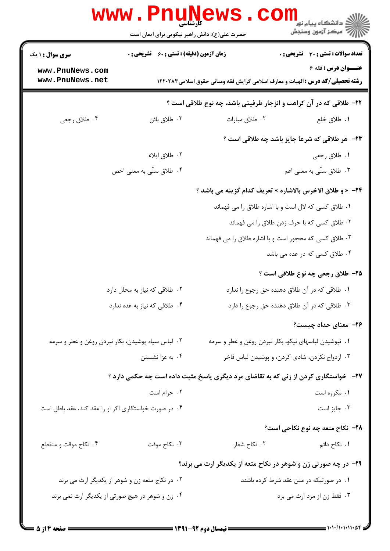|                                                      | www.PnuN<br>حضرت علی(ع): دانش راهبر نیکویی برای ایمان است |                                                                                            | ≧ دانشگاه پيام نو <mark>ر</mark><br>7' مرڪز آزمون وسنڊش |
|------------------------------------------------------|-----------------------------------------------------------|--------------------------------------------------------------------------------------------|---------------------------------------------------------|
| سری سوال : ۱ یک                                      | <b>زمان آزمون (دقیقه) : تستی : 60 ٪ تشریحی : 0</b>        |                                                                                            | <b>تعداد سوالات : تستی : 30 ٪ تشریحی : 0</b>            |
| www.PnuNews.com<br>www.PnuNews.net                   |                                                           | <b>رشته تحصیلی/کد درس :</b> الهیات و معارف اسلامی گرایش فقه ومبانی حقوق اسلامی۱۲۲۰۲۸۳      | <b>عنــوان درس : فقه 6</b>                              |
|                                                      |                                                           | ۲۲- طلاقی که در آن کراهت و انزجار طرفینی باشد، چه نوع طلاقی است ؟                          |                                                         |
| ۰۴ طلاق رجعي                                         | ۰۳ طلاق بائن                                              | ٠٢ طلاق مبارات                                                                             | ٠١ طلاق خلع                                             |
|                                                      |                                                           |                                                                                            | <b>۲۳</b> - هر طلاقی که شرعا جایز باشد چه طلاقی است ؟   |
|                                                      | ۰۲ طلاق ایلاء                                             |                                                                                            | ١. طلاق رجعي                                            |
|                                                      | ۰۴ طلاق سنّی به معنی اخص                                  |                                                                                            | ۰۳ طلاق سنّی به معنی اعم                                |
|                                                      |                                                           | 2۴− « و طلاق الاخرس بالاشاره » تعريف كدام گزينه مي باشد ؟                                  |                                                         |
|                                                      |                                                           | ٠١ طلاق كسى كه لال است و با اشاره طلاق را مى فهماند                                        |                                                         |
|                                                      |                                                           |                                                                                            | ۰۲ طلاق کسی که با حرف زدن طلاق را می فهماند             |
|                                                      |                                                           | ۰۳ طلاق کسی که محجور است و با اشاره طلاق را می فهماند                                      |                                                         |
|                                                      |                                                           |                                                                                            | ۰۴ طلاق کسی که در عده می باشد                           |
|                                                      |                                                           |                                                                                            | ۲۵– طلاق رجعی چه نوع طلاقی است ؟                        |
|                                                      | ۰۲ طلاقی که نیاز به محلل دارد                             |                                                                                            | ۰۱ طلاقی که در آن طلاق دهنده حق رجوع را ندارد           |
|                                                      | ۰۴ طلاقی که نیاز به عده ندارد                             |                                                                                            | ۰۳ طلاقی که در آن طلاق دهنده حق رجوع را دارد            |
|                                                      |                                                           |                                                                                            | ۲۶– معنای حداد چیست؟                                    |
| ۰۲ لباس سیاه پوشیدن، بکار نبردن روغن و عطر و سرمه    |                                                           | ۰۱ نپوشیدن لباسهای نیکو، بکار نبردن روغن و عطر و سرمه                                      |                                                         |
|                                                      | ۰۴ به عزا نشستن                                           |                                                                                            | ۰۳ ازدواج نکردن، شادی کردن، و پوشیدن لباس فاخر          |
|                                                      |                                                           | <b>۲۷</b> - خواستگاری کردن از زنی که به تقاضای مرد دیگری پاسخ مثبت داده است چه حکمی دارد ؟ |                                                         |
|                                                      | ۰۲ حرام است                                               |                                                                                            | ۰۱ مکروه است                                            |
| ۰۴ در صورت خواستگاری اگر او را عقد کند، عقد باطل است |                                                           |                                                                                            | ۰۳ جایز است                                             |
|                                                      |                                                           |                                                                                            | ۲۸- نکاح متعه چه نوع نکاحی است؟                         |
| ۰۴ نکاح موقت و منقطع                                 | ۰۳ نکاح موقت                                              | ۰۲ نکاح شغار                                                                               | ٠١. نكاح دائم                                           |
|                                                      |                                                           | ۲۹- در چه صورتی زن و شوهر در نکاح متعه از یکدیگر ارث می برند؟                              |                                                         |
|                                                      | ۰۲ در نکاج متعه زن و شوهر از یکدیگر ارث می برند           |                                                                                            | ۰۱ در صورتیکه در متن عقد شرط کرده باشند                 |
| ۰۴ زن و شوهر در هیچ صورتی از یکدیگر ارث نمی برند     |                                                           |                                                                                            | ۰۳ فقط زن از مرد ارث مي برد                             |
|                                                      |                                                           |                                                                                            |                                                         |